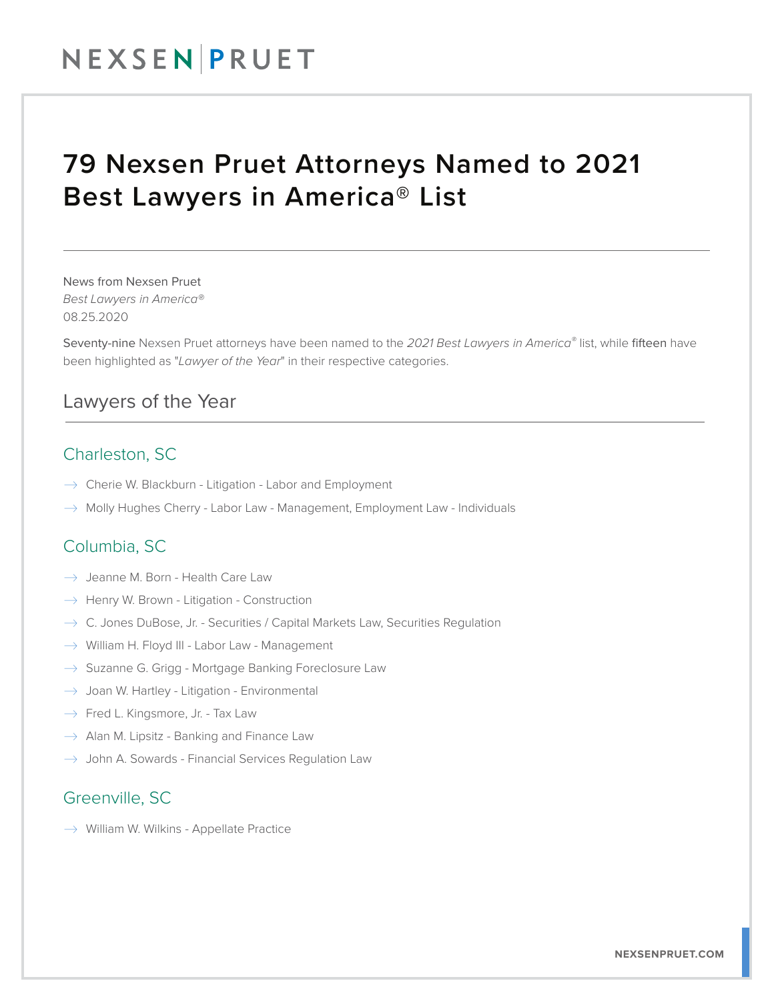## 79 Nexsen Pruet Attorneys Named to 2021 Best Lawyers in America® List

News from Nexsen Pruet *Best Lawyers in America®* 08.25.2020

Seventy-nine Nexsen Pruet attorneys have been named to the *2021 Best Lawyers in America®* list, while fifteen have been highlighted as "*Lawyer of the Year*" in their respective categories.

#### Lawyers of the Year  $\overline{\phantom{a}}$

### Charleston, SC

- $\rightarrow$  Cherie W. Blackburn Litigation Labor and Employment
- $\rightarrow$  Molly Hughes Cherry Labor Law Management, Employment Law Individuals

#### Columbia, SC

- $\rightarrow$  Jeanne M. Born Health Care Law
- $\rightarrow$  Henry W. Brown Litigation Construction
- $\rightarrow$  C. Jones DuBose, Jr. Securities / Capital Markets Law, Securities Regulation
- $\rightarrow$  William H. Floyd III Labor Law Management
- $\rightarrow$  Suzanne G. Grigg Mortgage Banking Foreclosure Law
- $\rightarrow$  Joan W. Hartley Litigation Environmental
- $\rightarrow$  Fred L. Kingsmore, Jr. Tax Law
- $\rightarrow$  Alan M. Lipsitz Banking and Finance Law
- $\rightarrow$  John A. Sowards Financial Services Regulation Law

### Greenville, SC

 $\rightarrow$  William W. Wilkins - Appellate Practice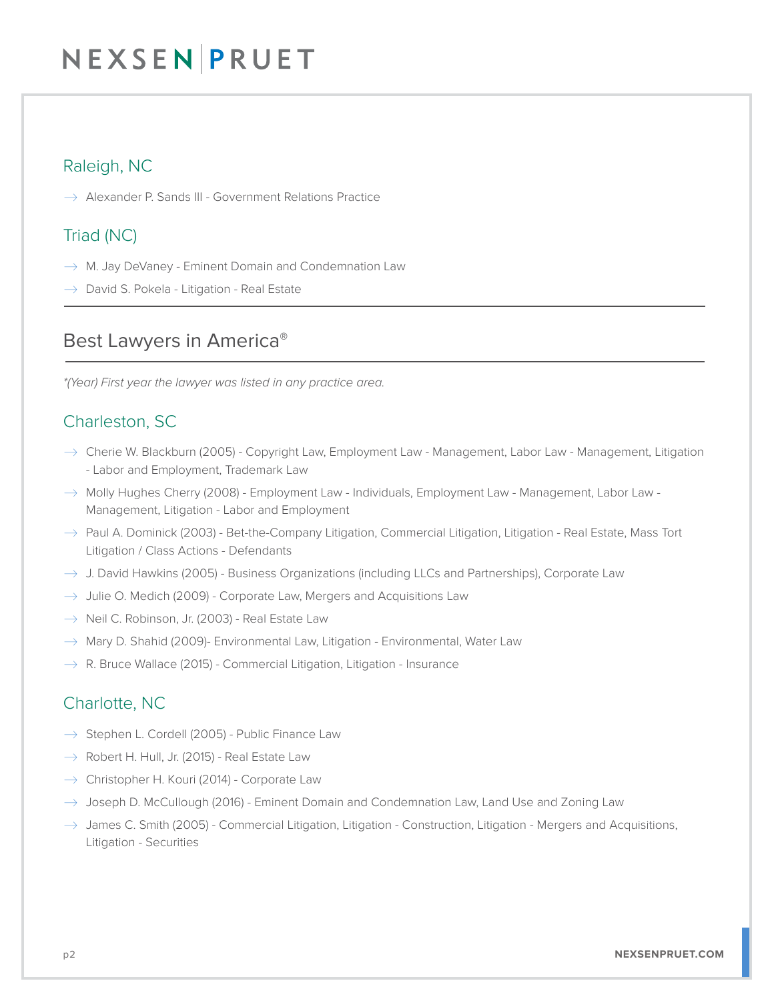### Raleigh, NC

 $\rightarrow$  Alexander P. Sands III - Government Relations Practice

#### Triad (NC)

- $\rightarrow$  M. Jay DeVaney Eminent Domain and Condemnation Law
- $\rightarrow$  David S. Pokela Litigation Real Estate  $\overline{a}$

#### Best Lawyers in America®  $\overline{\phantom{a}}$

*\*(Year) First year the lawyer was listed in any practice area.*

### Charleston, SC

- $\rightarrow$  Cherie W. Blackburn (2005) Copyright Law, Employment Law Management, Labor Law Management, Litigation - Labor and Employment, Trademark Law
- $\rightarrow$  Molly Hughes Cherry (2008) Employment Law Individuals, Employment Law Management, Labor Law -Management, Litigation - Labor and Employment
- $\to$  Paul A. Dominick (2003) Bet-the-Company Litigation, Commercial Litigation, Litigation Real Estate, Mass Tort Litigation / Class Actions - Defendants
- $\rightarrow$  J. David Hawkins (2005) Business Organizations (including LLCs and Partnerships), Corporate Law
- $\rightarrow$  Julie O. Medich (2009) Corporate Law, Mergers and Acquisitions Law
- $\rightarrow$  Neil C. Robinson, Jr. (2003) Real Estate Law
- $\rightarrow$  Mary D. Shahid (2009)- Environmental Law, Litigation Environmental, Water Law
- $\rightarrow$  R. Bruce Wallace (2015) Commercial Litigation, Litigation Insurance

### Charlotte, NC

- $\rightarrow$  Stephen L. Cordell (2005) Public Finance Law
- $\rightarrow$  Robert H. Hull, Jr. (2015) Real Estate Law
- $\rightarrow$  Christopher H. Kouri (2014) Corporate Law
- $\rightarrow$  Joseph D. McCullough (2016) Eminent Domain and Condemnation Law, Land Use and Zoning Law
- $\rightarrow$  James C. Smith (2005) Commercial Litigation, Litigation Construction, Litigation Mergers and Acquisitions, Litigation - Securities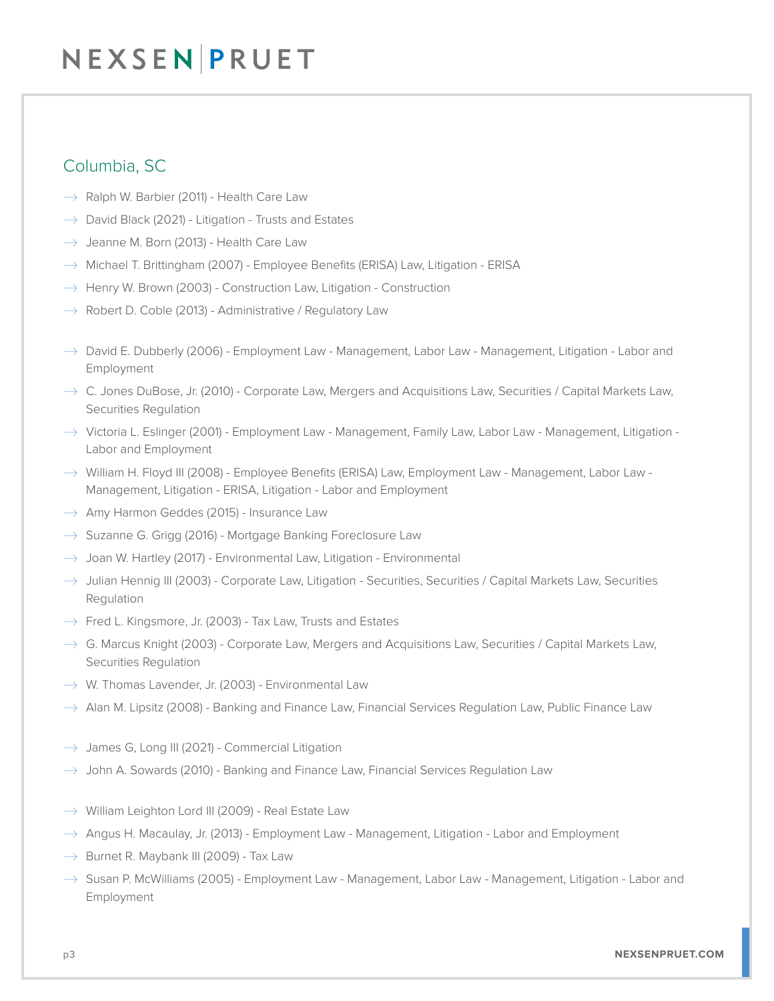## Columbia, SC

- $\rightarrow$  Ralph W. Barbier (2011) Health Care Law
- $\rightarrow$  David Black (2021) Litigation Trusts and Estates
- $\rightarrow$  Jeanne M. Born (2013) Health Care Law
- $\rightarrow$  Michael T. Brittingham (2007) Employee Benefits (ERISA) Law, Litigation ERISA
- $\rightarrow$  Henry W. Brown (2003) Construction Law, Litigation Construction
- $\rightarrow$  Robert D. Coble (2013) Administrative / Regulatory Law
- $\rightarrow$  David E. Dubberly (2006) Employment Law Management, Labor Law Management, Litigation Labor and Employment
- $\rightarrow$  C. Jones DuBose, Jr. (2010) Corporate Law, Mergers and Acquisitions Law, Securities / Capital Markets Law, Securities Regulation
- $\rightarrow$  Victoria L. Eslinger (2001) Employment Law Management, Family Law, Labor Law Management, Litigation -Labor and Employment
- $\rightarrow$  William H. Floyd III (2008) Employee Benefits (ERISA) Law, Employment Law Management, Labor Law -Management, Litigation - ERISA, Litigation - Labor and Employment
- $\rightarrow$  Amy Harmon Geddes (2015) Insurance Law
- $\rightarrow$  Suzanne G. Grigg (2016) Mortgage Banking Foreclosure Law
- $\rightarrow$  Joan W. Hartley (2017) Environmental Law, Litigation Environmental
- $\rightarrow$  Julian Hennig III (2003) Corporate Law, Litigation Securities, Securities / Capital Markets Law, Securities Regulation
- $\rightarrow$  Fred L. Kingsmore, Jr. (2003) Tax Law, Trusts and Estates
- $\rightarrow$  G. Marcus Knight (2003) Corporate Law, Mergers and Acquisitions Law, Securities / Capital Markets Law, Securities Regulation
- $\rightarrow$  W. Thomas Lavender, Jr. (2003) Environmental Law
- $\rightarrow$  Alan M. Lipsitz (2008) Banking and Finance Law, Financial Services Regulation Law, Public Finance Law
- $\rightarrow$  James G, Long III (2021) Commercial Litigation
- $\rightarrow$  John A. Sowards (2010) Banking and Finance Law, Financial Services Regulation Law
- $\rightarrow$  William Leighton Lord III (2009) Real Estate Law
- $\rightarrow$  Angus H. Macaulay, Jr. (2013) Employment Law Management, Litigation Labor and Employment
- $\rightarrow$  Burnet R. Maybank III (2009) Tax Law
- $\rightarrow$  Susan P. McWilliams (2005) Employment Law Management, Labor Law Management, Litigation Labor and Employment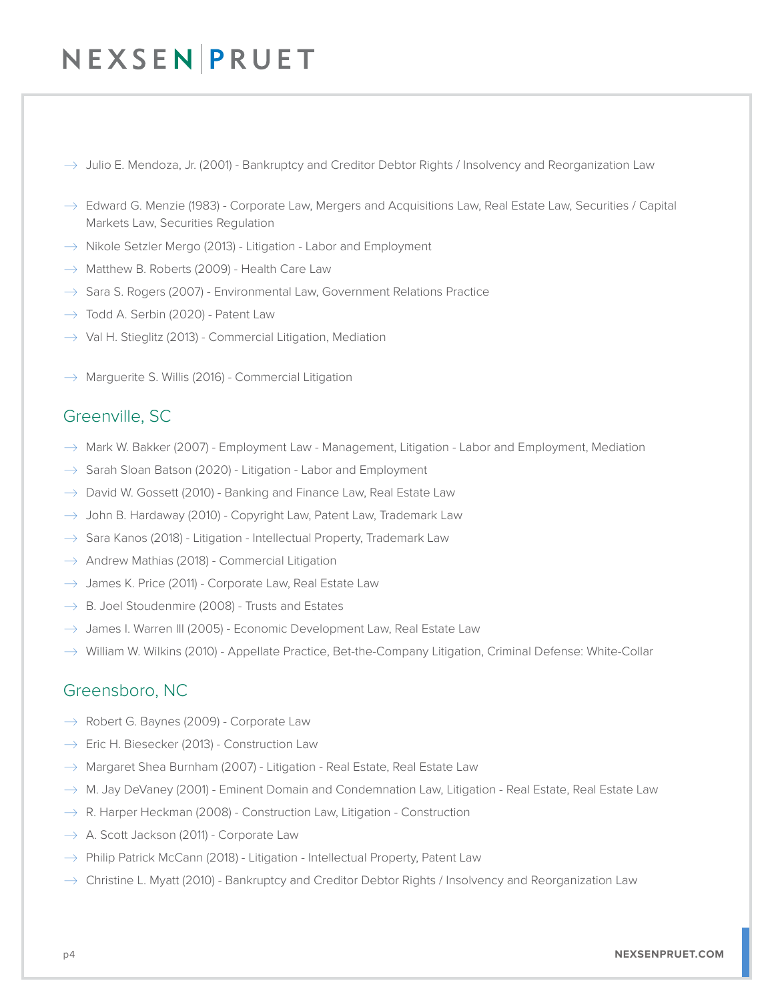- $\rightarrow$  Julio E. Mendoza, Jr. (2001) Bankruptcy and Creditor Debtor Rights / Insolvency and Reorganization Law
- $\rightarrow$  Edward G. Menzie (1983) Corporate Law, Mergers and Acquisitions Law, Real Estate Law, Securities / Capital Markets Law, Securities Regulation
- $\rightarrow$  Nikole Setzler Mergo (2013) Litigation Labor and Employment
- $\rightarrow$  Matthew B. Roberts (2009) Health Care Law
- $\rightarrow$  Sara S. Rogers (2007) Environmental Law, Government Relations Practice
- $\rightarrow$  Todd A. Serbin (2020) Patent Law
- $\rightarrow$  Val H. Stieglitz (2013) Commercial Litigation, Mediation
- $\rightarrow$  Marguerite S. Willis (2016) Commercial Litigation

#### Greenville, SC

- $\rightarrow$  Mark W. Bakker (2007) Employment Law Management, Litigation Labor and Employment, Mediation
- $\rightarrow$  Sarah Sloan Batson (2020) Litigation Labor and Employment
- $\rightarrow$  David W. Gossett (2010) Banking and Finance Law, Real Estate Law
- $\rightarrow$  John B. Hardaway (2010) Copyright Law, Patent Law, Trademark Law
- $\rightarrow$  Sara Kanos (2018) Litigation Intellectual Property, Trademark Law
- $\rightarrow$  Andrew Mathias (2018) Commercial Litigation
- $\rightarrow$  James K. Price (2011) Corporate Law, Real Estate Law
- $\rightarrow$  B. Joel Stoudenmire (2008) Trusts and Estates
- $\rightarrow$  James I. Warren III (2005) Economic Development Law, Real Estate Law
- $\rightarrow$  William W. Wilkins (2010) Appellate Practice, Bet-the-Company Litigation, Criminal Defense: White-Collar

#### Greensboro, NC

- $\rightarrow$  Robert G. Baynes (2009) Corporate Law
- $\rightarrow$  Eric H. Biesecker (2013) Construction Law
- $\rightarrow$  Margaret Shea Burnham (2007) Litigation Real Estate, Real Estate Law
- $\rightarrow$  M. Jay DeVaney (2001) Eminent Domain and Condemnation Law, Litigation Real Estate, Real Estate Law
- $\rightarrow$  R. Harper Heckman (2008) Construction Law, Litigation Construction
- $\rightarrow$  A. Scott Jackson (2011) Corporate Law
- $\rightarrow$  Philip Patrick McCann (2018) Litigation Intellectual Property, Patent Law
- $\rightarrow$  Christine L. Myatt (2010) Bankruptcy and Creditor Debtor Rights / Insolvency and Reorganization Law